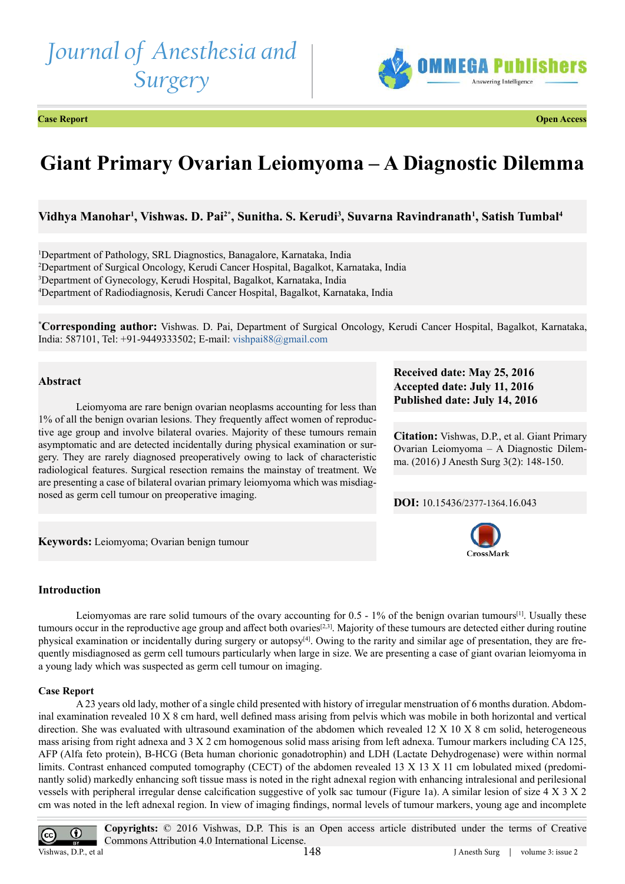# *Journal of Anesthesia and Surgery*



**Case Report Open Access**

# **Giant Primary Ovarian Leiomyoma – A Diagnostic Dilemma**

**Vidhya Manohar1 , Vishwas. D. Pai2\*, Sunitha. S. Kerudi3 , Suvarna Ravindranath1 , Satish Tumbal4**

 Department of Pathology, SRL Diagnostics, Banagalore, Karnataka, India Department of Surgical Oncology, Kerudi Cancer Hospital, Bagalkot, Karnataka, India Department of Gynecology, Kerudi Hospital, Bagalkot, Karnataka, India Department of Radiodiagnosis, Kerudi Cancer Hospital, Bagalkot, Karnataka, India

**\* Corresponding author:** Vishwas. D. Pai, Department of Surgical Oncology, Kerudi Cancer Hospital, Bagalkot, Karnataka, India: 587101, Tel: +91-9449333502; E-mail: [vishpai88@gmail.com](mailto:vishpai88%40gmail.com?subject=)

# **Abstract**

Leiomyoma are rare benign ovarian neoplasms accounting for less than 1% of all the benign ovarian lesions. They frequently affect women of reproductive age group and involve bilateral ovaries. Majority of these tumours remain asymptomatic and are detected incidentally during physical examination or surgery. They are rarely diagnosed preoperatively owing to lack of characteristic radiological features. Surgical resection remains the mainstay of treatment. We are presenting a case of bilateral ovarian primary leiomyoma which was misdiagnosed as germ cell tumour on preoperative imaging.

**Keywords:** Leiomyoma; Ovarian benign tumour

# **Introduction**

Leiomyomas are rare solid tumours of the ovary accounting for  $0.5 - 1\%$  of the benign ovarian tumours<sup>[1]</sup>. Usually these tumours occur in the reproductive age group and affect both ovaries[\[2,3\]](#page-2-1). Majority of these tumours are detected either during routine physical examination or incidentally during surgery or autopsy<sup>[4]</sup>. Owing to the rarity and similar age of presentation, they are frequently misdiagnosed as germ cell tumours particularly when large in size. We are presenting a case of giant ovarian leiomyoma in a young lady which was suspected as germ cell tumour on imaging.

# **Case Report**

A 23 years old lady, mother of a single child presented with history of irregular menstruation of 6 months duration. Abdominal examination revealed 10 X 8 cm hard, well defined mass arising from pelvis which was mobile in both horizontal and vertical direction. She was evaluated with ultrasound examination of the abdomen which revealed 12 X 10 X 8 cm solid, heterogeneous mass arising from right adnexa and 3 X 2 cm homogenous solid mass arising from left adnexa. Tumour markers including CA 125, AFP (Alfa feto protein), B-HCG (Beta human chorionic gonadotrophin) and LDH (Lactate Dehydrogenase) were within normal limits. Contrast enhanced computed tomography (CECT) of the abdomen revealed 13 X 13 X 11 cm lobulated mixed (predominantly solid) markedly enhancing soft tissue mass is noted in the right adnexal region with enhancing intralesional and perilesional vessels with peripheral irregular dense calcification suggestive of yolk sac tumour (Figure 1a). A similar lesion of size 4 X 3 X 2 cm was noted in the left adnexal region. In view of imaging findings, normal levels of tumour markers, young age and incomplete



**Accepted date: July 11, 2016 Published date: July 14, 2016**

**Received date: May 25, 2016**

**Citation:** Vishwas, D.P., et al. Giant Primary Ovarian Leiomyoma – A Diagnostic Dilemma. (2016) J Anesth Surg 3(2): 148-150.

**DOI:** [10.15436/2377-1364.16.04](http://www.dx.doi.org/10.15436/2377-1364.16.043)3

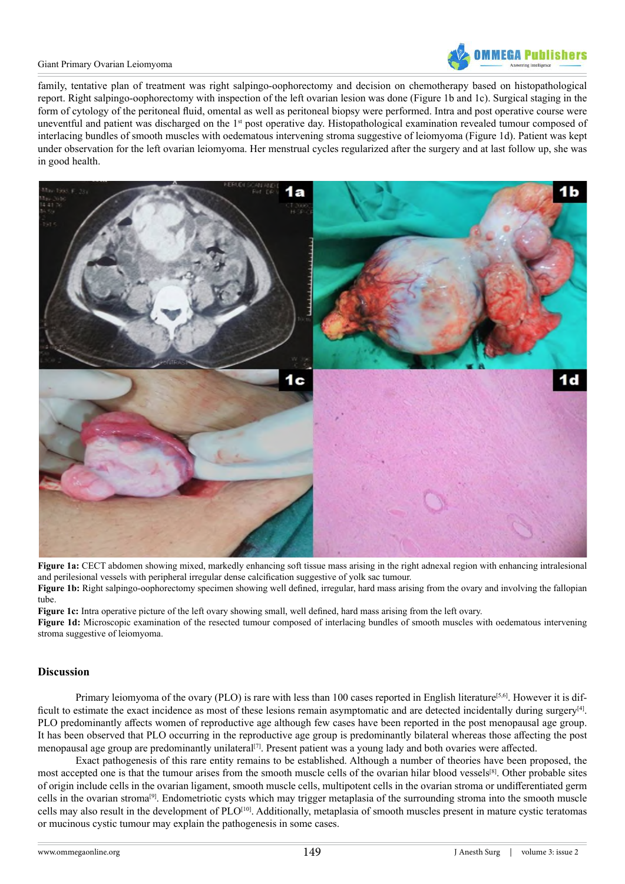

#### Giant Primary Ovarian Leiomyoma

family, tentative plan of treatment was right salpingo-oophorectomy and decision on chemotherapy based on histopathological report. Right salpingo-oophorectomy with inspection of the left ovarian lesion was done (Figure 1b and 1c). Surgical staging in the form of cytology of the peritoneal fluid, omental as well as peritoneal biopsy were performed. Intra and post operative course were uneventful and patient was discharged on the  $1<sup>st</sup>$  post operative day. Histopathological examination revealed tumour composed of interlacing bundles of smooth muscles with oedematous intervening stroma suggestive of leiomyoma (Figure 1d). Patient was kept under observation for the left ovarian leiomyoma. Her menstrual cycles regularized after the surgery and at last follow up, she was in good health.



**Figure 1a:** CECT abdomen showing mixed, markedly enhancing soft tissue mass arising in the right adnexal region with enhancing intralesional and perilesional vessels with peripheral irregular dense calcification suggestive of yolk sac tumour. **Figure 1b:** Right salpingo-oophorectomy specimen showing well defined, irregular, hard mass arising from the ovary and involving the fallopian

tube.

**Figure 1c:** Intra operative picture of the left ovary showing small, well defined, hard mass arising from the left ovary.

**Figure 1d:** Microscopic examination of the resected tumour composed of interlacing bundles of smooth muscles with oedematous intervening stroma suggestive of leiomyoma.

# **Discussion**

Primary leiomyoma of the ovary (PLO) is rare with less than 100 cases reported in English literature<sup>[5,6]</sup>. However it is difficult to estimate the exact incidence as most of these lesions remain asymptomatic and are detected incidentally during surgery[\[4\].](#page-2-2) PLO predominantly affects women of reproductive age although few cases have been reported in the post menopausal age group. It has been observed that PLO occurring in the reproductive age group is predominantly bilateral whereas those affecting the post menopausal age group are predominantly unilateral[\[7\]](#page-2-4). Present patient was a young lady and both ovaries were affected.

Exact pathogenesis of this rare entity remains to be established. Although a number of theories have been proposed, the most accepted one is that the tumour arises from the smooth muscle cells of the ovarian hilar blood vessels<sup>[8]</sup>. Other probable sites of origin include cells in the ovarian ligament, smooth muscle cells, multipotent cells in the ovarian stroma or undifferentiated germ cells in the ovarian strom[a\[9\]](#page-2-6). Endometriotic cysts which may trigger metaplasia of the surrounding stroma into the smooth muscle cells may also result in the development of PLO[\[10\]](#page-2-7). Additionally, metaplasia of smooth muscles present in mature cystic teratomas or mucinous cystic tumour may explain the pathogenesis in some cases.